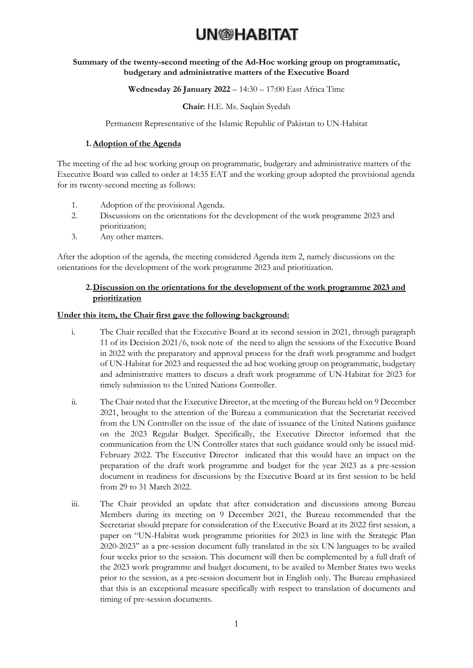#### **Summary of the twenty-second meeting of the Ad-Hoc working group on programmatic, budgetary and administrative matters of the Executive Board**

#### **Wednesday 26 January 2022** – 14:30 – 17:00 East Africa Time

#### **Chair:** H.E. Ms. Saqlain Syedah

#### Permanent Representative of the Islamic Republic of Pakistan to UN-Habitat

#### **1.Adoption of the Agenda**

The meeting of the ad hoc working group on programmatic, budgetary and administrative matters of the Executive Board was called to order at 14:35 EAT and the working group adopted the provisional agenda for its twenty-second meeting as follows:

- 1. Adoption of the provisional Agenda.
- 2. Discussions on the orientations for the development of the work programme 2023 and prioritization;
- 3. Any other matters.

After the adoption of the agenda, the meeting considered Agenda item 2, namely discussions on the orientations for the development of the work programme 2023 and prioritization.

#### **2.Discussion on the orientations for the development of the work programme 2023 and prioritization**

#### **Under this item, the Chair first gave the following background:**

- i. The Chair recalled that the Executive Board at its second session in 2021, through paragraph 11 of its Decision 2021/6, took note of the need to align the sessions of the Executive Board in 2022 with the preparatory and approval process for the draft work programme and budget of UN-Habitat for 2023 and requested the ad hoc working group on programmatic, budgetary and administrative matters to discuss a draft work programme of UN-Habitat for 2023 for timely submission to the United Nations Controller.
- ii. The Chair noted that the Executive Director, at the meeting of the Bureau held on 9 December 2021, brought to the attention of the Bureau a communication that the Secretariat received from the UN Controller on the issue of the date of issuance of the United Nations guidance on the 2023 Regular Budget. Specifically, the Executive Director informed that the communication from the UN Controller states that such guidance would only be issued mid-February 2022. The Executive Director indicated that this would have an impact on the preparation of the draft work programme and budget for the year 2023 as a pre-session document in readiness for discussions by the Executive Board at its first session to be held from 29 to 31 March 2022.
- iii. The Chair provided an update that after consideration and discussions among Bureau Members during its meeting on 9 December 2021, the Bureau recommended that the Secretariat should prepare for consideration of the Executive Board at its 2022 first session, a paper on "UN-Habitat work programme priorities for 2023 in line with the Strategic Plan 2020-2023" as a pre-session document fully translated in the six UN languages to be availed four weeks prior to the session. This document will then be complemented by a full draft of the 2023 work programme and budget document, to be availed to Member States two weeks prior to the session, as a pre-session document but in English only. The Bureau emphasized that this is an exceptional measure specifically with respect to translation of documents and timing of pre-session documents.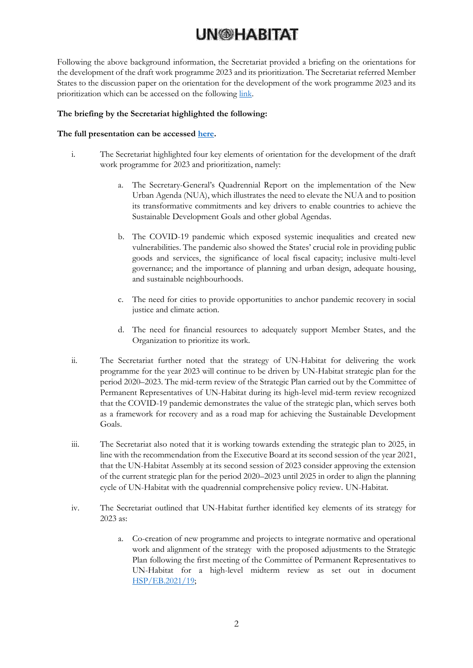Following the above background information, the Secretariat provided a briefing on the orientations for the development of the draft work programme 2023 and its prioritization. The Secretariat referred Member States to the discussion paper on the orientation for the development of the work programme 2023 and its prioritization which can be accessed on the following [link.](https://unhabitat.org/sites/default/files/2022/01/discussion_paper_on_orientation_and_priorities_for_the_work_programme_2023_19_january_2022_rev_2_before_clearance_no_track_changes.pdf)

#### **The briefing by the Secretariat highlighted the following:**

#### **The full presentation can be accessed [here.](https://unhabitat.org/sites/default/files/2022/01/awg_presentation_-_orientations_and_prioritizations_for_work_programme_2023_25_jan_2022rtslide6_update.pdf)**

- i. The Secretariat highlighted four key elements of orientation for the development of the draft work programme for 2023 and prioritization, namely:
	- a. The Secretary-General's Quadrennial Report on the implementation of the New Urban Agenda (NUA), which illustrates the need to elevate the NUA and to position its transformative commitments and key drivers to enable countries to achieve the Sustainable Development Goals and other global Agendas.
	- b. The COVID-19 pandemic which exposed systemic inequalities and created new vulnerabilities. The pandemic also showed the States' crucial role in providing public goods and services, the significance of local fiscal capacity; inclusive multi-level governance; and the importance of planning and urban design, adequate housing, and sustainable neighbourhoods.
	- c. The need for cities to provide opportunities to anchor pandemic recovery in social justice and climate action.
	- d. The need for financial resources to adequately support Member States, and the Organization to prioritize its work.
- ii. The Secretariat further noted that the strategy of UN-Habitat for delivering the work programme for the year 2023 will continue to be driven by UN-Habitat strategic plan for the period 2020–2023. The mid-term review of the Strategic Plan carried out by the Committee of Permanent Representatives of UN-Habitat during its high-level mid-term review recognized that the COVID-19 pandemic demonstrates the value of the strategic plan, which serves both as a framework for recovery and as a road map for achieving the Sustainable Development Goals.
- iii. The Secretariat also noted that it is working towards extending the strategic plan to 2025, in line with the recommendation from the Executive Board at its second session of the year 2021, that the UN-Habitat Assembly at its second session of 2023 consider approving the extension of the current strategic plan for the period 2020–2023 until 2025 in order to align the planning cycle of UN-Habitat with the quadrennial comprehensive policy review. UN-Habitat.
- iv. The Secretariat outlined that UN-Habitat further identified key elements of its strategy for 2023 as:
	- a. Co-creation of new programme and projects to integrate normative and operational work and alignment of the strategy with the proposed adjustments to the Strategic Plan following the first meeting of the Committee of Permanent Representatives to UN-Habitat for a high-level midterm review as set out in document [HSP/EB.2021/19;](https://unhabitat.org/sites/default/files/2021/10/english-202119.pdf)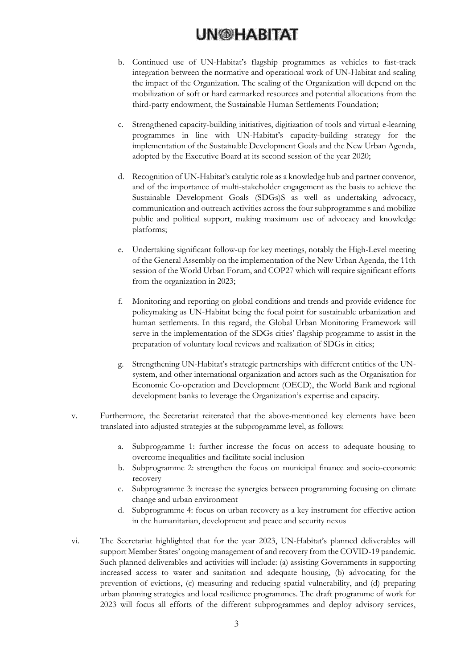- b. Continued use of UN-Habitat's flagship programmes as vehicles to fast-track integration between the normative and operational work of UN-Habitat and scaling the impact of the Organization. The scaling of the Organization will depend on the mobilization of soft or hard earmarked resources and potential allocations from the third-party endowment, the Sustainable Human Settlements Foundation;
- c. Strengthened capacity-building initiatives, digitization of tools and virtual e-learning programmes in line with UN-Habitat's capacity-building strategy for the implementation of the Sustainable Development Goals and the New Urban Agenda, adopted by the Executive Board at its second session of the year 2020;
- d. Recognition of UN-Habitat's catalytic role as a knowledge hub and partner convenor, and of the importance of multi-stakeholder engagement as the basis to achieve the Sustainable Development Goals (SDGs)S as well as undertaking advocacy, communication and outreach activities across the four subprogramme s and mobilize public and political support, making maximum use of advocacy and knowledge platforms;
- e. Undertaking significant follow-up for key meetings, notably the High-Level meeting of the General Assembly on the implementation of the New Urban Agenda, the 11th session of the World Urban Forum, and COP27 which will require significant efforts from the organization in 2023;
- f. Monitoring and reporting on global conditions and trends and provide evidence for policymaking as UN-Habitat being the focal point for sustainable urbanization and human settlements. In this regard, the Global Urban Monitoring Framework will serve in the implementation of the SDGs cities' flagship programme to assist in the preparation of voluntary local reviews and realization of SDGs in cities;
- g. Strengthening UN-Habitat's strategic partnerships with different entities of the UNsystem, and other international organization and actors such as the Organisation for Economic Co-operation and Development (OECD), the World Bank and regional development banks to leverage the Organization's expertise and capacity.
- v. Furthermore, the Secretariat reiterated that the above-mentioned key elements have been translated into adjusted strategies at the subprogramme level, as follows:
	- a. Subprogramme 1: further increase the focus on access to adequate housing to overcome inequalities and facilitate social inclusion
	- b. Subprogramme 2: strengthen the focus on municipal finance and socio-economic recovery
	- c. Subprogramme 3: increase the synergies between programming focusing on climate change and urban environment
	- d. Subprogramme 4: focus on urban recovery as a key instrument for effective action in the humanitarian, development and peace and security nexus
- vi. The Secretariat highlighted that for the year 2023, UN-Habitat's planned deliverables will support Member States' ongoing management of and recovery from the COVID-19 pandemic. Such planned deliverables and activities will include: (a) assisting Governments in supporting increased access to water and sanitation and adequate housing, (b) advocating for the prevention of evictions, (c) measuring and reducing spatial vulnerability, and (d) preparing urban planning strategies and local resilience programmes. The draft programme of work for 2023 will focus all efforts of the different subprogrammes and deploy advisory services,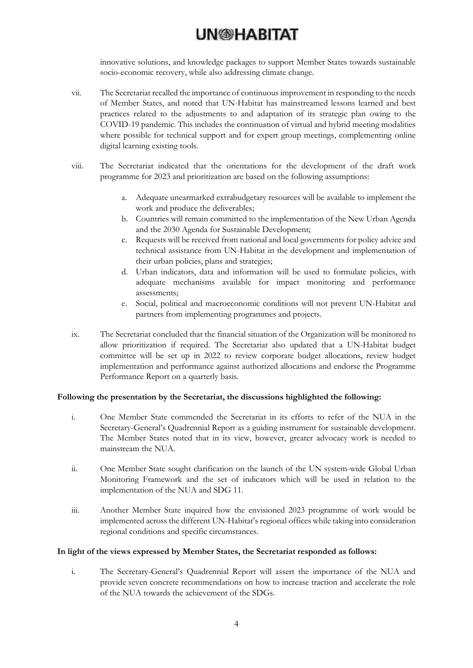innovative solutions, and knowledge packages to support Member States towards sustainable socio-economic recovery, while also addressing climate change.

- vii. The Secretariat recalled the importance of continuous improvement in responding to the needs of Member States, and noted that UN-Habitat has mainstreamed lessons learned and best practices related to the adjustments to and adaptation of its strategic plan owing to the COVID-19 pandemic. This includes the continuation of virtual and hybrid meeting modalities where possible for technical support and for expert group meetings, complementing online digital learning existing tools.
- viii. The Secretariat indicated that the orientations for the development of the draft work programme for 2023 and prioritization are based on the following assumptions:
	- a. Adequate unearmarked extrabudgetary resources will be available to implement the work and produce the deliverables;
	- b. Countries will remain committed to the implementation of the New Urban Agenda and the 2030 Agenda for Sustainable Development;
	- c. Requests will be received from national and local governments for policy advice and technical assistance from UN-Habitat in the development and implementation of their urban policies, plans and strategies;
	- d. Urban indicators, data and information will be used to formulate policies, with adequate mechanisms available for impact monitoring and performance assessments;
	- e. Social, political and macroeconomic conditions will not prevent UN-Habitat and partners from implementing programmes and projects.
- ix. The Secretariat concluded that the financial situation of the Organization will be monitored to allow prioritization if required. The Secretariat also updated that a UN-Habitat budget committee will be set up in 2022 to review corporate budget allocations, review budget implementation and performance against authorized allocations and endorse the Programme Performance Report on a quarterly basis.

#### **Following the presentation by the Secretariat, the discussions highlighted the following:**

- i. One Member State commended the Secretariat in its efforts to refer of the NUA in the Secretary-General's Quadrennial Report as a guiding instrument for sustainable development. The Member States noted that in its view, however, greater advocacy work is needed to mainstream the NUA.
- ii. One Member State sought clarification on the launch of the UN system-wide Global Urban Monitoring Framework and the set of indicators which will be used in relation to the implementation of the NUA and SDG 11.
- iii. Another Member State inquired how the envisioned 2023 programme of work would be implemented across the different UN-Habitat's regional offices while taking into consideration regional conditions and specific circumstances.

#### **In light of the views expressed by Member States, the Secretariat responded as follows:**

i. The Secretary-General's Quadrennial Report will assert the importance of the NUA and provide seven concrete recommendations on how to increase traction and accelerate the role of the NUA towards the achievement of the SDGs.